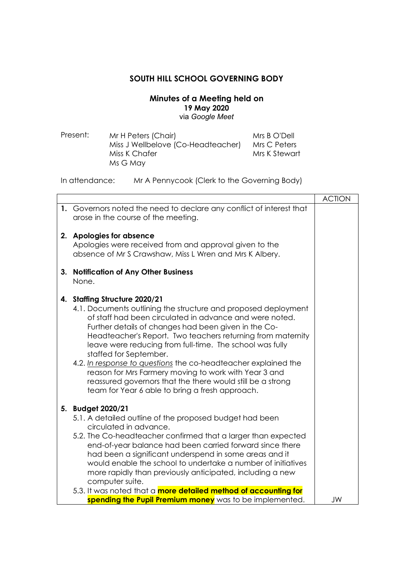## **SOUTH HILL SCHOOL GOVERNING BODY**

## **Minutes of a Meeting held on 19 May 2020**  via *Google Meet*

| Present: | Mr H Peters (Chair)                | Mrs B O'Dell  |
|----------|------------------------------------|---------------|
|          | Miss J Wellbelove (Co-Headteacher) | Mrs C Peters  |
|          | Miss K Chafer                      | Mrs K Stewart |
|          | Ms G May                           |               |

## In attendance: Mr A Pennycook (Clerk to the Governing Body)

|    |                                                                                                                                                                                                                                                                                                                                                                                                                                                                                                                                                                                                                     | <b>ACTION</b> |
|----|---------------------------------------------------------------------------------------------------------------------------------------------------------------------------------------------------------------------------------------------------------------------------------------------------------------------------------------------------------------------------------------------------------------------------------------------------------------------------------------------------------------------------------------------------------------------------------------------------------------------|---------------|
|    | 1. Governors noted the need to declare any conflict of interest that<br>arose in the course of the meeting.                                                                                                                                                                                                                                                                                                                                                                                                                                                                                                         |               |
|    | 2. Apologies for absence<br>Apologies were received from and approval given to the<br>absence of Mr S Crawshaw, Miss L Wren and Mrs K Albery.                                                                                                                                                                                                                                                                                                                                                                                                                                                                       |               |
| 3. | <b>Notification of Any Other Business</b><br>None.                                                                                                                                                                                                                                                                                                                                                                                                                                                                                                                                                                  |               |
|    | 4. Staffing Structure 2020/21<br>4.1. Documents outlining the structure and proposed deployment<br>of staff had been circulated in advance and were noted.<br>Further details of changes had been given in the Co-<br>Headteacher's Report. Two teachers returning from maternity<br>leave were reducing from full-time. The school was fully<br>staffed for September.<br>4.2. In response to questions the co-headteacher explained the<br>reason for Mrs Farmery moving to work with Year 3 and<br>reassured governors that the there would still be a strong<br>team for Year 6 able to bring a fresh approach. |               |
|    | 5. Budget 2020/21<br>5.1. A detailed outline of the proposed budget had been<br>circulated in advance.<br>5.2. The Co-headteacher confirmed that a larger than expected<br>end-of-year balance had been carried forward since there<br>had been a significant underspend in some areas and it<br>would enable the school to undertake a number of initiatives<br>more rapidly than previously anticipated, including a new<br>computer suite.<br>5.3. It was noted that a more detailed method of accounting for                                                                                                    |               |
|    | spending the Pupil Premium money was to be implemented.                                                                                                                                                                                                                                                                                                                                                                                                                                                                                                                                                             | JW            |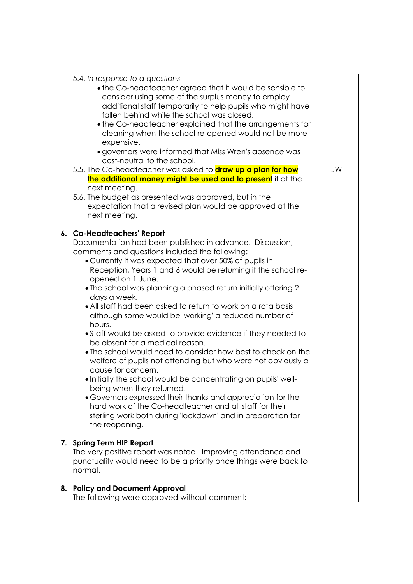|    | 5.4. In response to a questions<br>• the Co-headteacher agreed that it would be sensible to<br>consider using some of the surplus money to employ<br>additional staff temporarily to help pupils who might have<br>fallen behind while the school was closed.<br>• the Co-headteacher explained that the arrangements for<br>cleaning when the school re-opened would not be more<br>expensive.<br>· governors were informed that Miss Wren's absence was<br>cost-neutral to the school.<br>5.5. The Co-headteacher was asked to <b>draw up a plan for how</b><br>the additional money might be used and to present it at the<br>next meeting.                                                                                                                                                                                                                                                                                                                                                                                                                                  | JW |
|----|---------------------------------------------------------------------------------------------------------------------------------------------------------------------------------------------------------------------------------------------------------------------------------------------------------------------------------------------------------------------------------------------------------------------------------------------------------------------------------------------------------------------------------------------------------------------------------------------------------------------------------------------------------------------------------------------------------------------------------------------------------------------------------------------------------------------------------------------------------------------------------------------------------------------------------------------------------------------------------------------------------------------------------------------------------------------------------|----|
|    | 5.6. The budget as presented was approved, but in the<br>expectation that a revised plan would be approved at the<br>next meeting.                                                                                                                                                                                                                                                                                                                                                                                                                                                                                                                                                                                                                                                                                                                                                                                                                                                                                                                                              |    |
|    | 6. Co-Headteachers' Report<br>Documentation had been published in advance. Discussion,<br>comments and questions included the following:<br>• Currently it was expected that over 50% of pupils in<br>Reception, Years 1 and 6 would be returning if the school re-<br>opened on 1 June.<br>• The school was planning a phased return initially offering 2<br>days a week.<br>• All staff had been asked to return to work on a rota basis<br>although some would be 'working' a reduced number of<br>hours.<br>• Staff would be asked to provide evidence if they needed to<br>be absent for a medical reason.<br>• The school would need to consider how best to check on the<br>welfare of pupils not attending but who were not obviously a<br>cause for concern.<br>. Initially the school would be concentrating on pupils' well-<br>being when they returned.<br>• Governors expressed their thanks and appreciation for the<br>hard work of the Co-headteacher and all staff for their<br>sterling work both during 'lockdown' and in preparation for<br>the reopening. |    |
|    | 7. Spring Term HIP Report<br>The very positive report was noted. Improving attendance and<br>punctuality would need to be a priority once things were back to<br>normal.                                                                                                                                                                                                                                                                                                                                                                                                                                                                                                                                                                                                                                                                                                                                                                                                                                                                                                        |    |
| 8. | <b>Policy and Document Approval</b><br>The following were approved without comment:                                                                                                                                                                                                                                                                                                                                                                                                                                                                                                                                                                                                                                                                                                                                                                                                                                                                                                                                                                                             |    |